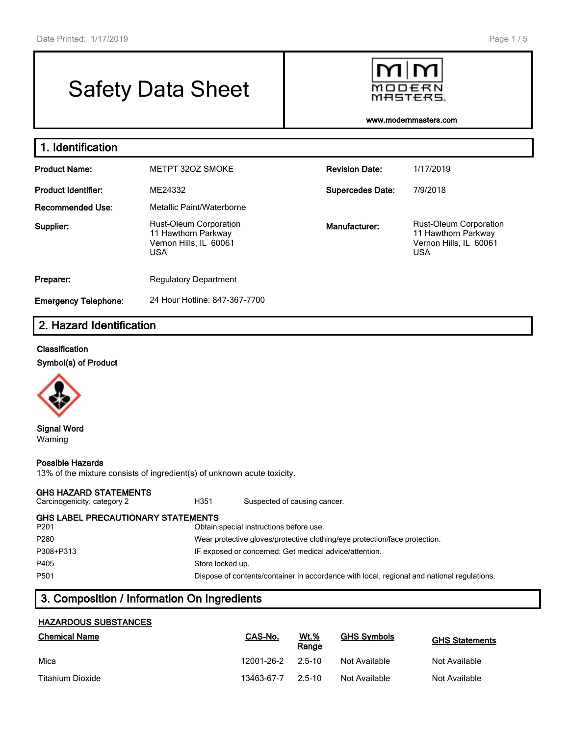# Safety Data Sheet



**www.modernmasters.com**

| 1. Identification           |                                                                                                               |                       |                                                                                              |  |  |  |  |  |
|-----------------------------|---------------------------------------------------------------------------------------------------------------|-----------------------|----------------------------------------------------------------------------------------------|--|--|--|--|--|
| <b>Product Name:</b>        | METPT 32OZ SMOKE                                                                                              | <b>Revision Date:</b> | 1/17/2019                                                                                    |  |  |  |  |  |
| <b>Product Identifier:</b>  | ME24332<br><b>Supercedes Date:</b>                                                                            |                       | 7/9/2018                                                                                     |  |  |  |  |  |
| <b>Recommended Use:</b>     | Metallic Paint/Waterborne                                                                                     |                       |                                                                                              |  |  |  |  |  |
| Supplier:                   | <b>Rust-Oleum Corporation</b><br>Manufacturer:<br>11 Hawthorn Parkway<br>Vernon Hills, IL 60061<br><b>USA</b> |                       | <b>Rust-Oleum Corporation</b><br>11 Hawthorn Parkway<br>Vernon Hills, IL 60061<br><b>USA</b> |  |  |  |  |  |
| Preparer:                   | <b>Regulatory Department</b>                                                                                  |                       |                                                                                              |  |  |  |  |  |
| <b>Emergency Telephone:</b> | 24 Hour Hotline: 847-367-7700                                                                                 |                       |                                                                                              |  |  |  |  |  |

# **2. Hazard Identification**

#### **Classification**

**Symbol(s) of Product**



**Signal Word** Warning

#### **Possible Hazards**

13% of the mixture consists of ingredient(s) of unknown acute toxicity.

#### **GHS HAZARD STATEMENTS**

Carcinogenicity, category 2 **H351** Suspected of causing cancer. **GHS LABEL PRECAUTIONARY STATEMENTS** P201 Obtain special instructions before use. P280 Wear protective gloves/protective clothing/eye protection/face protection. P308+P313 IF exposed or concerned: Get medical advice/attention. P405 Store locked up. P501 Dispose of contents/container in accordance with local, regional and national regulations.

# **3. Composition / Information On Ingredients**

## **HAZARDOUS SUBSTANCES**

| <b>Chemical Name</b> | CAS-No.    | Wt.%<br>Range | <b>GHS Symbols</b> | <b>GHS Statements</b> |
|----------------------|------------|---------------|--------------------|-----------------------|
| Mica                 | 12001-26-2 | 2.5-10        | Not Available      | Not Available         |
| Titanium Dioxide     | 13463-67-7 | $25-10$       | Not Available      | Not Available         |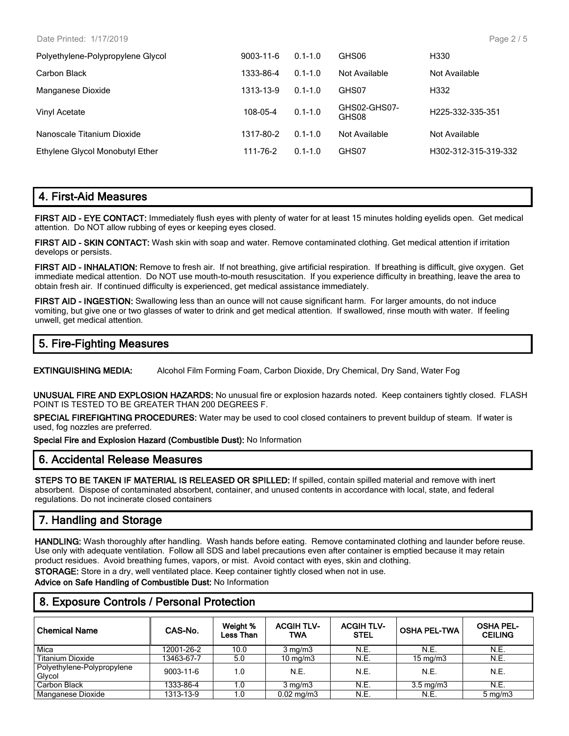Date Printed: 1/17/2019

| $9003 - 11 - 6$ | $0.1 - 1.0$ | GHS06                 | H330                          |
|-----------------|-------------|-----------------------|-------------------------------|
| 1333-86-4       | $0.1 - 1.0$ | Not Available         | Not Available                 |
| 1313-13-9       | $0.1 - 1.0$ | GHS07                 | H332                          |
| 108-05-4        | $0.1 - 1.0$ | GHS02-GHS07-<br>GHS08 | H <sub>225</sub> -332-335-351 |
| 1317-80-2       | $0.1 - 1.0$ | Not Available         | Not Available                 |
| 111-76-2        | $0.1 - 1.0$ | GHS07                 | H302-312-315-319-332          |
|                 |             |                       |                               |

# **4. First-Aid Measures**

**FIRST AID - EYE CONTACT:** Immediately flush eyes with plenty of water for at least 15 minutes holding eyelids open. Get medical attention. Do NOT allow rubbing of eyes or keeping eyes closed.

**FIRST AID - SKIN CONTACT:** Wash skin with soap and water. Remove contaminated clothing. Get medical attention if irritation develops or persists.

**FIRST AID - INHALATION:** Remove to fresh air. If not breathing, give artificial respiration. If breathing is difficult, give oxygen. Get immediate medical attention. Do NOT use mouth-to-mouth resuscitation. If you experience difficulty in breathing, leave the area to obtain fresh air. If continued difficulty is experienced, get medical assistance immediately.

**FIRST AID - INGESTION:** Swallowing less than an ounce will not cause significant harm. For larger amounts, do not induce vomiting, but give one or two glasses of water to drink and get medical attention. If swallowed, rinse mouth with water. If feeling unwell, get medical attention.

# **5. Fire-Fighting Measures**

**EXTINGUISHING MEDIA:** Alcohol Film Forming Foam, Carbon Dioxide, Dry Chemical, Dry Sand, Water Fog

**UNUSUAL FIRE AND EXPLOSION HAZARDS:** No unusual fire or explosion hazards noted. Keep containers tightly closed. FLASH POINT IS TESTED TO BE GREATER THAN 200 DEGREES F.

**SPECIAL FIREFIGHTING PROCEDURES:** Water may be used to cool closed containers to prevent buildup of steam. If water is used, fog nozzles are preferred.

**Special Fire and Explosion Hazard (Combustible Dust):** No Information

## **6. Accidental Release Measures**

**STEPS TO BE TAKEN IF MATERIAL IS RELEASED OR SPILLED:** If spilled, contain spilled material and remove with inert absorbent. Dispose of contaminated absorbent, container, and unused contents in accordance with local, state, and federal regulations. Do not incinerate closed containers

# **7. Handling and Storage**

**HANDLING:** Wash thoroughly after handling. Wash hands before eating. Remove contaminated clothing and launder before reuse. Use only with adequate ventilation. Follow all SDS and label precautions even after container is emptied because it may retain product residues. Avoid breathing fumes, vapors, or mist. Avoid contact with eyes, skin and clothing.

**STORAGE:** Store in a dry, well ventilated place. Keep container tightly closed when not in use.

**Advice on Safe Handling of Combustible Dust:** No Information

## **8. Exposure Controls / Personal Protection**

| <b>Chemical Name</b>                 | CAS-No.    | Weight %<br>Less Than | <b>ACGIH TLV-</b><br><b>TWA</b> | <b>ACGIH TLV-</b><br><b>STEL</b> | <b>OSHA PEL-TWA</b> | <b>OSHA PEL-</b><br><b>CEILING</b> |
|--------------------------------------|------------|-----------------------|---------------------------------|----------------------------------|---------------------|------------------------------------|
| Mica                                 | 12001-26-2 | 10.0                  | $3 \text{ mg/m}$                | N.E.                             | N.E.                | N.E.                               |
| <b>Titanium Dioxide</b>              | 13463-67-7 | 5.0                   | $10 \text{ mg/m}$               | N.E.                             | $15 \text{ mg/m}$   | N.E.                               |
| Polyethylene-Polypropylene<br>Glycol | 9003-11-6  | 1.0                   | N.E.                            | N.E.                             | N.E.                | N.E.                               |
| Carbon Black                         | 1333-86-4  | 1.0                   | $3 \text{ mg/m}$                | N.E.                             | $3.5 \text{ mg/m}$  | N.E.                               |
| Manganese Dioxide                    | 1313-13-9  | 1.0                   | $0.02 \,\mathrm{mg/m3}$         | N.E.                             | N.E.                | $5 \text{ mg/m}$                   |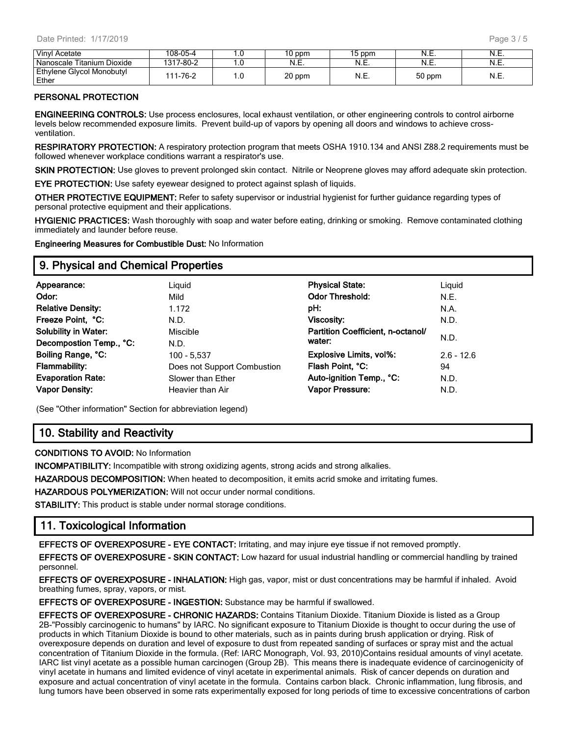| Vinyl Acetate                      | 108-05-4      | .u  | 10 ppm | 15 ppm | N.E.   | N.⊏.  |
|------------------------------------|---------------|-----|--------|--------|--------|-------|
| Nanoscale Titanium Dioxide         | 1317-80-2     | .u  | IN.E.  | N.E.   | N.E.   | N.⊏.  |
| Ethylene Glycol Monobutyl<br>Ether | 1-76-2<br>111 | 1.U | 20 ppm | N.E.   | 50 ppm | 'N.⊏. |

## **PERSONAL PROTECTION**

**ENGINEERING CONTROLS:** Use process enclosures, local exhaust ventilation, or other engineering controls to control airborne levels below recommended exposure limits. Prevent build-up of vapors by opening all doors and windows to achieve crossventilation.

**RESPIRATORY PROTECTION:** A respiratory protection program that meets OSHA 1910.134 and ANSI Z88.2 requirements must be followed whenever workplace conditions warrant a respirator's use.

**SKIN PROTECTION:** Use gloves to prevent prolonged skin contact. Nitrile or Neoprene gloves may afford adequate skin protection.

**EYE PROTECTION:** Use safety eyewear designed to protect against splash of liquids.

**OTHER PROTECTIVE EQUIPMENT:** Refer to safety supervisor or industrial hygienist for further guidance regarding types of personal protective equipment and their applications.

**HYGIENIC PRACTICES:** Wash thoroughly with soap and water before eating, drinking or smoking. Remove contaminated clothing immediately and launder before reuse.

**Engineering Measures for Combustible Dust:** No Information

## **9. Physical and Chemical Properties**

| Appearance:                 | Liquid                      | <b>Physical State:</b>            | Liquid       |
|-----------------------------|-----------------------------|-----------------------------------|--------------|
| Odor:                       | Mild                        | <b>Odor Threshold:</b>            | N.E.         |
| <b>Relative Density:</b>    | 1.172                       | pH:                               | N.A.         |
| Freeze Point, °C:           | N.D.                        | Viscosity:                        | N.D.         |
| <b>Solubility in Water:</b> | Miscible                    | Partition Coefficient, n-octanol/ |              |
| Decompostion Temp., °C:     | N.D.                        | water:                            | N.D.         |
| Boiling Range, °C:          | 100 - 5,537                 | <b>Explosive Limits, vol%:</b>    | $2.6 - 12.6$ |
| <b>Flammability:</b>        | Does not Support Combustion | Flash Point, °C:                  | 94           |
| <b>Evaporation Rate:</b>    | Slower than Ether           | Auto-ignition Temp., °C:          | N.D.         |
| <b>Vapor Density:</b>       | Heavier than Air            | Vapor Pressure:                   | N.D.         |
|                             |                             |                                   |              |

(See "Other information" Section for abbreviation legend)

# **10. Stability and Reactivity**

**CONDITIONS TO AVOID:** No Information

**INCOMPATIBILITY:** Incompatible with strong oxidizing agents, strong acids and strong alkalies.

**HAZARDOUS DECOMPOSITION:** When heated to decomposition, it emits acrid smoke and irritating fumes.

**HAZARDOUS POLYMERIZATION:** Will not occur under normal conditions.

**STABILITY:** This product is stable under normal storage conditions.

# **11. Toxicological Information**

**EFFECTS OF OVEREXPOSURE - EYE CONTACT:** Irritating, and may injure eye tissue if not removed promptly.

**EFFECTS OF OVEREXPOSURE - SKIN CONTACT:** Low hazard for usual industrial handling or commercial handling by trained personnel.

**EFFECTS OF OVEREXPOSURE - INHALATION:** High gas, vapor, mist or dust concentrations may be harmful if inhaled. Avoid breathing fumes, spray, vapors, or mist.

**EFFECTS OF OVEREXPOSURE - INGESTION:** Substance may be harmful if swallowed.

**EFFECTS OF OVEREXPOSURE - CHRONIC HAZARDS:** Contains Titanium Dioxide. Titanium Dioxide is listed as a Group 2B-"Possibly carcinogenic to humans" by IARC. No significant exposure to Titanium Dioxide is thought to occur during the use of products in which Titanium Dioxide is bound to other materials, such as in paints during brush application or drying. Risk of overexposure depends on duration and level of exposure to dust from repeated sanding of surfaces or spray mist and the actual concentration of Titanium Dioxide in the formula. (Ref: IARC Monograph, Vol. 93, 2010)Contains residual amounts of vinyl acetate. IARC list vinyl acetate as a possible human carcinogen (Group 2B). This means there is inadequate evidence of carcinogenicity of vinyl acetate in humans and limited evidence of vinyl acetate in experimental animals. Risk of cancer depends on duration and exposure and actual concentration of vinyl acetate in the formula. Contains carbon black. Chronic inflammation, lung fibrosis, and lung tumors have been observed in some rats experimentally exposed for long periods of time to excessive concentrations of carbon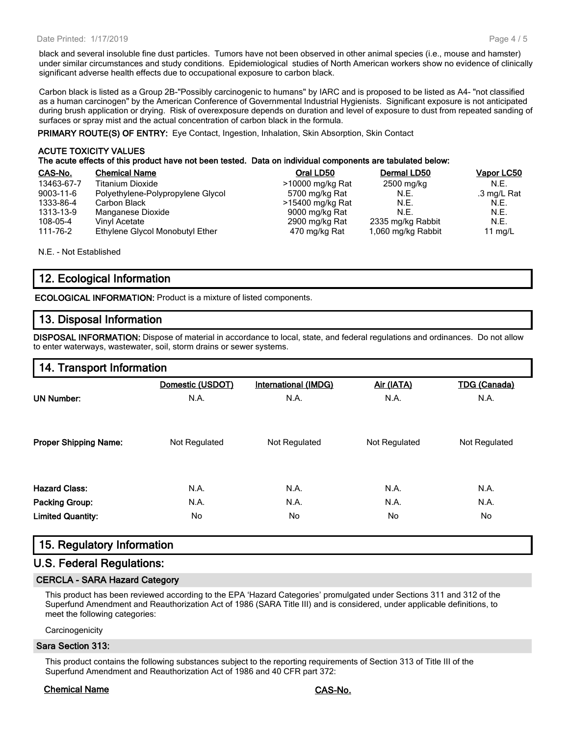#### Date Printed: 1/17/2019

black and several insoluble fine dust particles. Tumors have not been observed in other animal species (i.e., mouse and hamster) under similar circumstances and study conditions. Epidemiological studies of North American workers show no evidence of clinically significant adverse health effects due to occupational exposure to carbon black.

Carbon black is listed as a Group 2B-"Possibly carcinogenic to humans" by IARC and is proposed to be listed as A4- "not classified as a human carcinogen" by the American Conference of Governmental Industrial Hygienists. Significant exposure is not anticipated during brush application or drying. Risk of overexposure depends on duration and level of exposure to dust from repeated sanding of surfaces or spray mist and the actual concentration of carbon black in the formula.

**PRIMARY ROUTE(S) OF ENTRY:** Eye Contact, Ingestion, Inhalation, Skin Absorption, Skin Contact

#### **ACUTE TOXICITY VALUES The acute effects of this product have not been tested. Data on individual components are tabulated below:**

| CAS-No.         | <b>Chemical Name</b>              | Oral LD50        | Dermal LD50        | Vapor LC50  |
|-----------------|-----------------------------------|------------------|--------------------|-------------|
| 13463-67-7      | Titanium Dioxide                  | >10000 mg/kg Rat | 2500 mg/kg         | N.E.        |
| $9003 - 11 - 6$ | Polyethylene-Polypropylene Glycol | 5700 mg/kg Rat   | N.E.               | .3 mg/L Rat |
| 1333-86-4       | Carbon Black                      | >15400 mg/kg Rat | N.E.               | N.E.        |
| 1313-13-9       | Manganese Dioxide                 | 9000 mg/kg Rat   | N.F.               | N.E.        |
| 108-05-4        | Vinvl Acetate                     | 2900 mg/kg Rat   | 2335 mg/kg Rabbit  | N.E.        |
| 111-76-2        | Ethylene Glycol Monobutyl Ether   | 470 mg/kg Rat    | 1,060 mg/kg Rabbit | 11 $mq/L$   |

N.E. - Not Established

# **12. Ecological Information**

**ECOLOGICAL INFORMATION:** Product is a mixture of listed components.

## **13. Disposal Information**

**DISPOSAL INFORMATION:** Dispose of material in accordance to local, state, and federal regulations and ordinances. Do not allow to enter waterways, wastewater, soil, storm drains or sewer systems.

## **14. Transport Information**

|                              | Domestic (USDOT) | <b>International (IMDG)</b> | Air (IATA)    | <b>TDG (Canada)</b> |
|------------------------------|------------------|-----------------------------|---------------|---------------------|
| <b>UN Number:</b>            | N.A.             | N.A.                        | N.A.          | N.A.                |
| <b>Proper Shipping Name:</b> | Not Regulated    | Not Regulated               | Not Regulated | Not Regulated       |
| <b>Hazard Class:</b>         | N.A.             | N.A.                        | N.A.          | N.A.                |
| Packing Group:               | N.A.             | N.A.                        | N.A.          | N.A.                |
| <b>Limited Quantity:</b>     | No               | No                          | No            | No                  |

## **15. Regulatory Information**

## **U.S. Federal Regulations:**

## **CERCLA - SARA Hazard Category**

This product has been reviewed according to the EPA 'Hazard Categories' promulgated under Sections 311 and 312 of the Superfund Amendment and Reauthorization Act of 1986 (SARA Title III) and is considered, under applicable definitions, to meet the following categories:

**Carcinogenicity** 

## **Sara Section 313:**

This product contains the following substances subject to the reporting requirements of Section 313 of Title III of the Superfund Amendment and Reauthorization Act of 1986 and 40 CFR part 372:

## **Chemical Name CAS-No.**